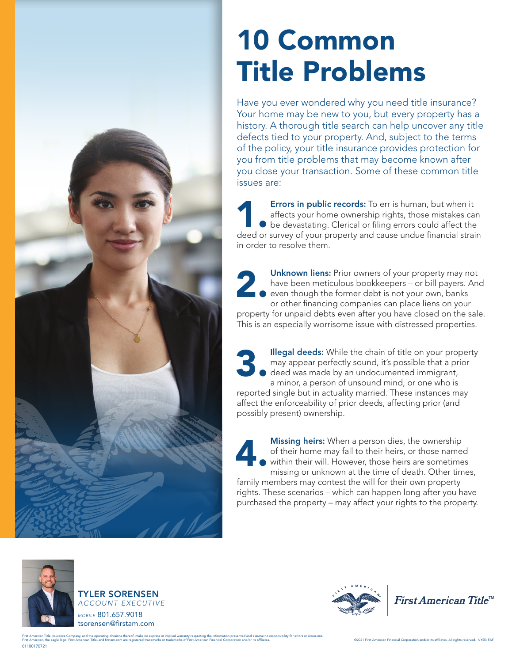

## 10 Common Title Problems

Have you ever wondered why you need title insurance? Your home may be new to you, but every property has a history. A thorough title search can help uncover any title defects tied to your property. And, subject to the terms of the policy, your title insurance provides protection for you from title problems that may become known after you close your transaction. Some of these common title issues are:

Errors in public records: To err is human, but when it affects your home ownership rights, those mistakes can **b** be devastating. Clerical or filing errors could affect the **Errors in public records:** To err is human, but when it affects your home ownership rights, those mistakes can be devastating. Clerical or filing errors could affect the deed or survey of your property and cause undue fin in order to resolve them.

Unknown liens: Prior owners of your property may not have been meticulous bookkeepers – or bill payers. And even though the former debt is not your own, banks or other financing companies can place liens on your property for unpaid debts even after you have closed on the sale. This is an especially worrisome issue with distressed properties. 2.

Illegal deeds: While the chain of title on your property may appear perfectly sound, it's possible that a prior deed was made by an undocumented immigrant, a minor, a person of unsound mind, or one who is reported single but in actuality married. These instances may affect the enforceability of prior deeds, affecting prior (and possibly present) ownership. 3.

Missing heirs: When a person dies, the ownership of their home may fall to their heirs, or those named within their will. However, those heirs are sometimes missing or unknown at the time of death. Other times, family members may contest the will for their own property rights. These scenarios – which can happen long after you have purchased the property – may affect your rights to the property. 4.







First American Title<sup>™</sup>

01100170721 First American Title Insurance Company, and the operating divisions thereof, make no express or implied warranty respecting the information presented and assume no responsibility for errors or omissions.